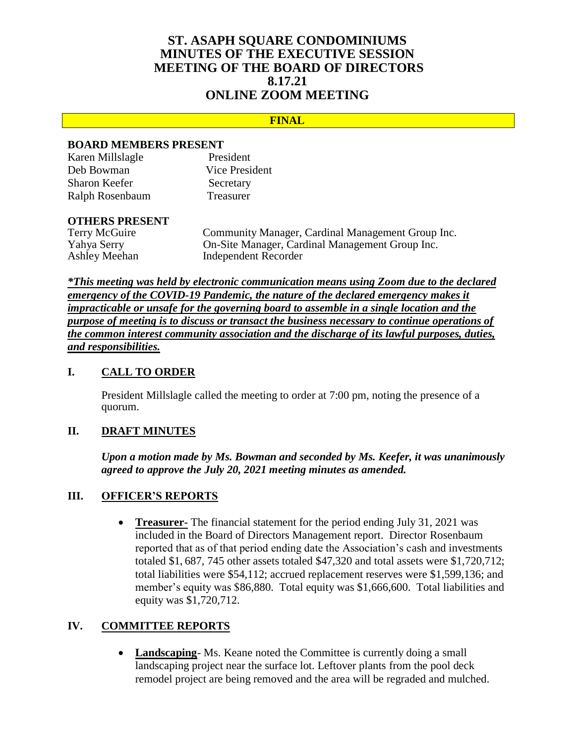# **ST. ASAPH SQUARE CONDOMINIUMS MINUTES OF THE EXECUTIVE SESSION MEETING OF THE BOARD OF DIRECTORS 8.17.21 ONLINE ZOOM MEETING**

## **FINAL**

## **BOARD MEMBERS PRESENT**

| Karen Millslagle     | President      |
|----------------------|----------------|
| Deb Bowman           | Vice President |
| <b>Sharon Keefer</b> | Secretary      |
| Ralph Rosenbaum      | Treasurer      |

# **OTHERS PRESENT**

Community Manager, Cardinal Management Group Inc. Yahya Serry On-Site Manager, Cardinal Management Group Inc. Ashley Meehan Independent Recorder

*\*This meeting was held by electronic communication means using Zoom due to the declared emergency of the COVID-19 Pandemic, the nature of the declared emergency makes it impracticable or unsafe for the governing board to assemble in a single location and the purpose of meeting is to discuss or transact the business necessary to continue operations of the common interest community association and the discharge of its lawful purposes, duties, and responsibilities.*

## **I. CALL TO ORDER**

President Millslagle called the meeting to order at 7:00 pm, noting the presence of a quorum.

### **II. DRAFT MINUTES**

*Upon a motion made by Ms. Bowman and seconded by Ms. Keefer, it was unanimously agreed to approve the July 20, 2021 meeting minutes as amended.*

#### **III. OFFICER'S REPORTS**

 **Treasurer-** The financial statement for the period ending July 31, 2021 was included in the Board of Directors Management report. Director Rosenbaum reported that as of that period ending date the Association's cash and investments totaled \$1**,** 687, 745 other assets totaled \$47,320 and total assets were \$1,720,712; total liabilities were \$54,112; accrued replacement reserves were \$1,599,136; and member's equity was \$86,880. Total equity was \$1,666,600. Total liabilities and equity was \$1,720,712.

## **IV. COMMITTEE REPORTS**

• Landscaping - Ms. Keane noted the Committee is currently doing a small landscaping project near the surface lot. Leftover plants from the pool deck remodel project are being removed and the area will be regraded and mulched.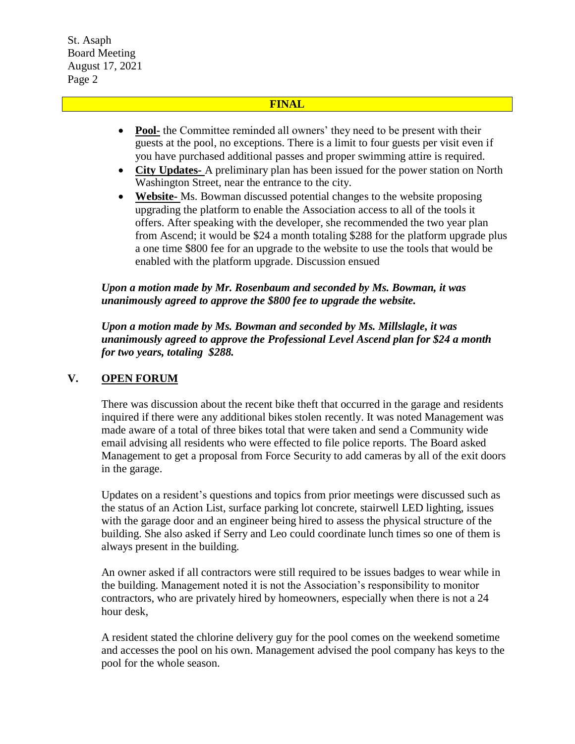St. Asaph Board Meeting August 17, 2021 Page 2

## **FINAL**

- **Pool-** the Committee reminded all owners' they need to be present with their guests at the pool, no exceptions. There is a limit to four guests per visit even if you have purchased additional passes and proper swimming attire is required.
- **City Updates-** A preliminary plan has been issued for the power station on North Washington Street, near the entrance to the city.
- **Website-** Ms. Bowman discussed potential changes to the website proposing upgrading the platform to enable the Association access to all of the tools it offers. After speaking with the developer, she recommended the two year plan from Ascend; it would be \$24 a month totaling \$288 for the platform upgrade plus a one time \$800 fee for an upgrade to the website to use the tools that would be enabled with the platform upgrade. Discussion ensued

## *Upon a motion made by Mr. Rosenbaum and seconded by Ms. Bowman, it was unanimously agreed to approve the \$800 fee to upgrade the website.*

*Upon a motion made by Ms. Bowman and seconded by Ms. Millslagle, it was unanimously agreed to approve the Professional Level Ascend plan for \$24 a month for two years, totaling \$288.*

## **V. OPEN FORUM**

There was discussion about the recent bike theft that occurred in the garage and residents inquired if there were any additional bikes stolen recently. It was noted Management was made aware of a total of three bikes total that were taken and send a Community wide email advising all residents who were effected to file police reports. The Board asked Management to get a proposal from Force Security to add cameras by all of the exit doors in the garage.

Updates on a resident's questions and topics from prior meetings were discussed such as the status of an Action List, surface parking lot concrete, stairwell LED lighting, issues with the garage door and an engineer being hired to assess the physical structure of the building. She also asked if Serry and Leo could coordinate lunch times so one of them is always present in the building.

An owner asked if all contractors were still required to be issues badges to wear while in the building. Management noted it is not the Association's responsibility to monitor contractors, who are privately hired by homeowners, especially when there is not a 24 hour desk,

A resident stated the chlorine delivery guy for the pool comes on the weekend sometime and accesses the pool on his own. Management advised the pool company has keys to the pool for the whole season.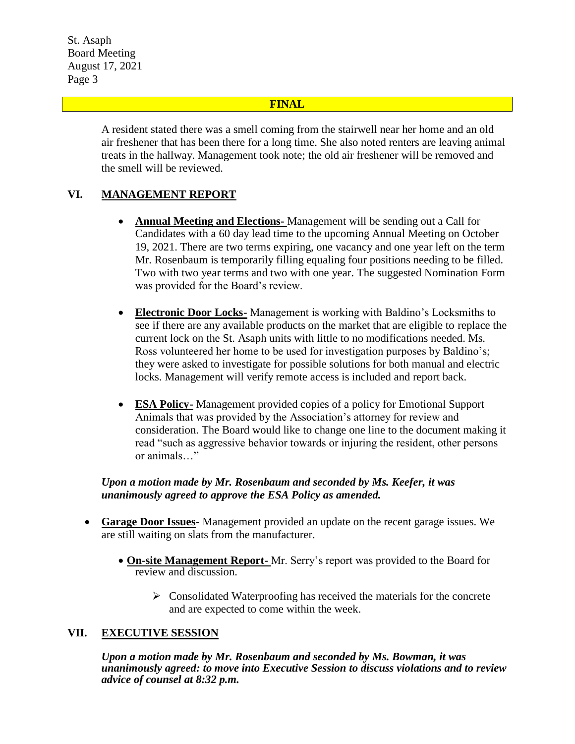St. Asaph Board Meeting August 17, 2021 Page 3

## **FINAL**

A resident stated there was a smell coming from the stairwell near her home and an old air freshener that has been there for a long time. She also noted renters are leaving animal treats in the hallway. Management took note; the old air freshener will be removed and the smell will be reviewed.

# **VI. MANAGEMENT REPORT**

- **Annual Meeting and Elections-** Management will be sending out a Call for Candidates with a 60 day lead time to the upcoming Annual Meeting on October 19, 2021. There are two terms expiring, one vacancy and one year left on the term Mr. Rosenbaum is temporarily filling equaling four positions needing to be filled. Two with two year terms and two with one year. The suggested Nomination Form was provided for the Board's review.
- **Electronic Door Locks-** Management is working with Baldino's Locksmiths to see if there are any available products on the market that are eligible to replace the current lock on the St. Asaph units with little to no modifications needed. Ms. Ross volunteered her home to be used for investigation purposes by Baldino's; they were asked to investigate for possible solutions for both manual and electric locks. Management will verify remote access is included and report back.
- **ESA Policy-** Management provided copies of a policy for Emotional Support Animals that was provided by the Association's attorney for review and consideration. The Board would like to change one line to the document making it read "such as aggressive behavior towards or injuring the resident, other persons or animals…"

## *Upon a motion made by Mr. Rosenbaum and seconded by Ms. Keefer, it was unanimously agreed to approve the ESA Policy as amended.*

- **Garage Door Issues** Management provided an update on the recent garage issues. We are still waiting on slats from the manufacturer.
	- **On-site Management Report-** Mr. Serry's report was provided to the Board for review and discussion.
		- $\triangleright$  Consolidated Waterproofing has received the materials for the concrete and are expected to come within the week.

#### **VII. EXECUTIVE SESSION**

*Upon a motion made by Mr. Rosenbaum and seconded by Ms. Bowman, it was unanimously agreed: to move into Executive Session to discuss violations and to review advice of counsel at 8:32 p.m.*